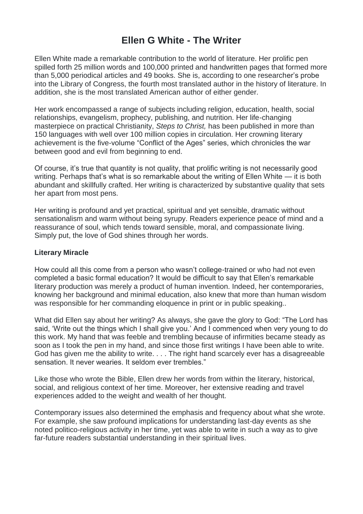# **Ellen G White - The Writer**

Ellen White made a remarkable contribution to the world of literature. Her prolific pen spilled forth 25 million words and 100,000 printed and handwritten pages that formed more than 5,000 periodical articles and 49 books. She is, according to one researcher's probe into the Library of Congress, the fourth most translated author in the history of literature. In addition, she is the most translated American author of either gender.

Her work encompassed a range of subjects including religion, education, health, social relationships, evangelism, prophecy, publishing, and nutrition. Her life-changing masterpiece on practical Christianity, *Steps to Christ,* has been published in more than 150 languages with well over 100 million copies in circulation. Her crowning literary achievement is the five-volume "Conflict of the Ages" series, which chronicles the war between good and evil from beginning to end.

Of course, it's true that quantity is not quality, that prolific writing is not necessarily good writing. Perhaps that's what is so remarkable about the writing of Ellen White — it is both abundant and skillfully crafted. Her writing is characterized by substantive quality that sets her apart from most pens.

Her writing is profound and yet practical, spiritual and yet sensible, dramatic without sensationalism and warm without being syrupy. Readers experience peace of mind and a reassurance of soul, which tends toward sensible, moral, and compassionate living. Simply put, the love of God shines through her words.

# **Literary Miracle**

How could all this come from a person who wasn't college-trained or who had not even completed a basic formal education? It would be difficult to say that Ellen's remarkable literary production was merely a product of human invention. Indeed, her contemporaries, knowing her background and minimal education, also knew that more than human wisdom was responsible for her commanding eloquence in print or in public speaking..

What did Ellen say about her writing? As always, she gave the glory to God: "The Lord has said, 'Write out the things which I shall give you.' And I commenced when very young to do this work. My hand that was feeble and trembling because of infirmities became steady as soon as I took the pen in my hand, and since those first writings I have been able to write. God has given me the ability to write. . . . The right hand scarcely ever has a disagreeable sensation. It never wearies. It seldom ever trembles."

Like those who wrote the Bible, Ellen drew her words from within the literary, historical, social, and religious context of her time. Moreover, her extensive reading and travel experiences added to the weight and wealth of her thought.

Contemporary issues also determined the emphasis and frequency about what she wrote. For example, she saw profound implications for understanding last-day events as she noted politico-religious activity in her time, yet was able to write in such a way as to give far-future readers substantial understanding in their spiritual lives.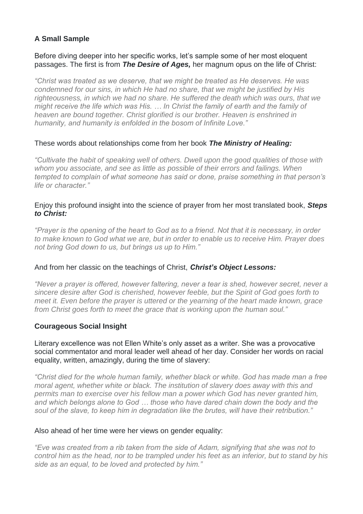# **A Small Sample**

## Before diving deeper into her specific works, let's sample some of her most eloquent passages. The first is from *The Desire of Ages,* her magnum opus on the life of Christ:

*"Christ was treated as we deserve, that we might be treated as He deserves. He was condemned for our sins, in which He had no share, that we might be justified by His righteousness, in which we had no share. He suffered the death which was ours, that we might receive the life which was His. … In Christ the family of earth and the family of heaven are bound together. Christ glorified is our brother. Heaven is enshrined in humanity, and humanity is enfolded in the bosom of Infinite Love."*

# These words about relationships come from her book *The Ministry of Healing:*

*"Cultivate the habit of speaking well of others. Dwell upon the good qualities of those with whom you associate, and see as little as possible of their errors and failings. When tempted to complain of what someone has said or done, praise something in that person's life or character."*

## Enjoy this profound insight into the science of prayer from her most translated book, *Steps to Christ:*

*"Prayer is the opening of the heart to God as to a friend. Not that it is necessary, in order to make known to God what we are, but in order to enable us to receive Him. Prayer does not bring God down to us, but brings us up to Him."*

## And from her classic on the teachings of Christ, *Christ's Object Lessons:*

*"Never a prayer is offered, however faltering, never a tear is shed, however secret, never a sincere desire after God is cherished, however feeble, but the Spirit of God goes forth to meet it. Even before the prayer is uttered or the yearning of the heart made known, grace from Christ goes forth to meet the grace that is working upon the human soul."*

# **Courageous Social Insight**

Literary excellence was not Ellen White's only asset as a writer. She was a provocative social commentator and moral leader well ahead of her day. Consider her words on racial equality, written, amazingly, during the time of slavery:

*"Christ died for the whole human family, whether black or white. God has made man a free moral agent, whether white or black. The institution of slavery does away with this and permits man to exercise over his fellow man a power which God has never granted him, and which belongs alone to God … those who have dared chain down the body and the soul of the slave, to keep him in degradation like the brutes, will have their retribution."*

## Also ahead of her time were her views on gender equality:

*"Eve was created from a rib taken from the side of Adam, signifying that she was not to control him as the head, nor to be trampled under his feet as an inferior, but to stand by his side as an equal, to be loved and protected by him."*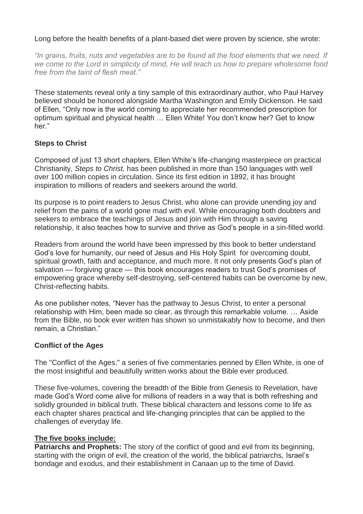# Long before the health benefits of a plant-based diet were proven by science, she wrote:

*"In grains, fruits, nuts and vegetables are to be found all the food elements that we need. If we come to the Lord in simplicity of mind, He will teach us how to prepare wholesome food free from the taint of flesh meat."*

These statements reveal only a tiny sample of this extraordinary author, who Paul Harvey believed should be honored alongside Martha Washington and Emily Dickenson. He said of Ellen, "Only now is the world coming to appreciate her recommended prescription for optimum spiritual and physical health … Ellen White! You don't know her? Get to know her."

# **Steps to Christ**

Composed of just 13 short chapters, Ellen White's life-changing masterpiece on practical Christianity, *Steps to Christ,* has been published in more than 150 languages with well over 100 million copies in circulation. Since its first edition in 1892, it has brought inspiration to millions of readers and seekers around the world.

Its purpose is to point readers to Jesus Christ, who alone can provide unending joy and relief from the pains of a world gone mad with evil. While encouraging both doubters and seekers to embrace the teachings of Jesus and join with Him through a saving relationship, it also teaches how to survive and thrive as God's people in a sin-filled world.

Readers from around the world have been impressed by this book to better understand God's love for humanity, our need of Jesus and His Holy Spirit for overcoming doubt, spiritual growth, faith and acceptance, and much more. It not only presents God's plan of salvation — forgiving grace — this book encourages readers to trust God's promises of empowering grace whereby self-destroying, self-centered habits can be overcome by new, Christ-reflecting habits.

As one publisher notes, "Never has the pathway to Jesus Christ, to enter a personal relationship with Him, been made so clear, as through this remarkable volume. … Aside from the Bible, no book ever written has shown so unmistakably how to become, and then remain, a Christian."

## **Conflict of the Ages**

The "Conflict of the Ages," a series of five commentaries penned by Ellen White, is one of the most insightful and beautifully written works about the Bible ever produced.

These five-volumes, covering the breadth of the Bible from Genesis to Revelation, have made God's Word come alive for millions of readers in a way that is both refreshing and solidly grounded in biblical truth. These biblical characters and lessons come to life as each chapter shares practical and life-changing principles that can be applied to the challenges of everyday life.

## **The five books include:**

**Patriarchs and Prophets:** The story of the conflict of good and evil from its beginning, starting with the origin of evil, the creation of the world, the biblical patriarchs, Israel's bondage and exodus, and their establishment in Canaan up to the time of David.